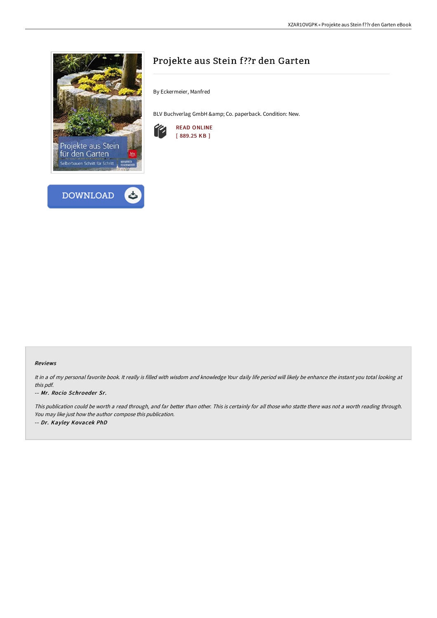



By Eckermeier, Manfred

BLV Buchverlag GmbH & amp; Co. paperback. Condition: New.



## Reviews

It in a of my personal favorite book. It really is filled with wisdom and knowledge Your daily life period will likely be enhance the instant you total looking at this pdf.

## -- Mr. Rocio Schroeder Sr.

This publication could be worth <sup>a</sup> read through, and far better than other. This is certainly for all those who statte there was not <sup>a</sup> worth reading through. You may like just how the author compose this publication. -- Dr. Kayley Kovacek PhD